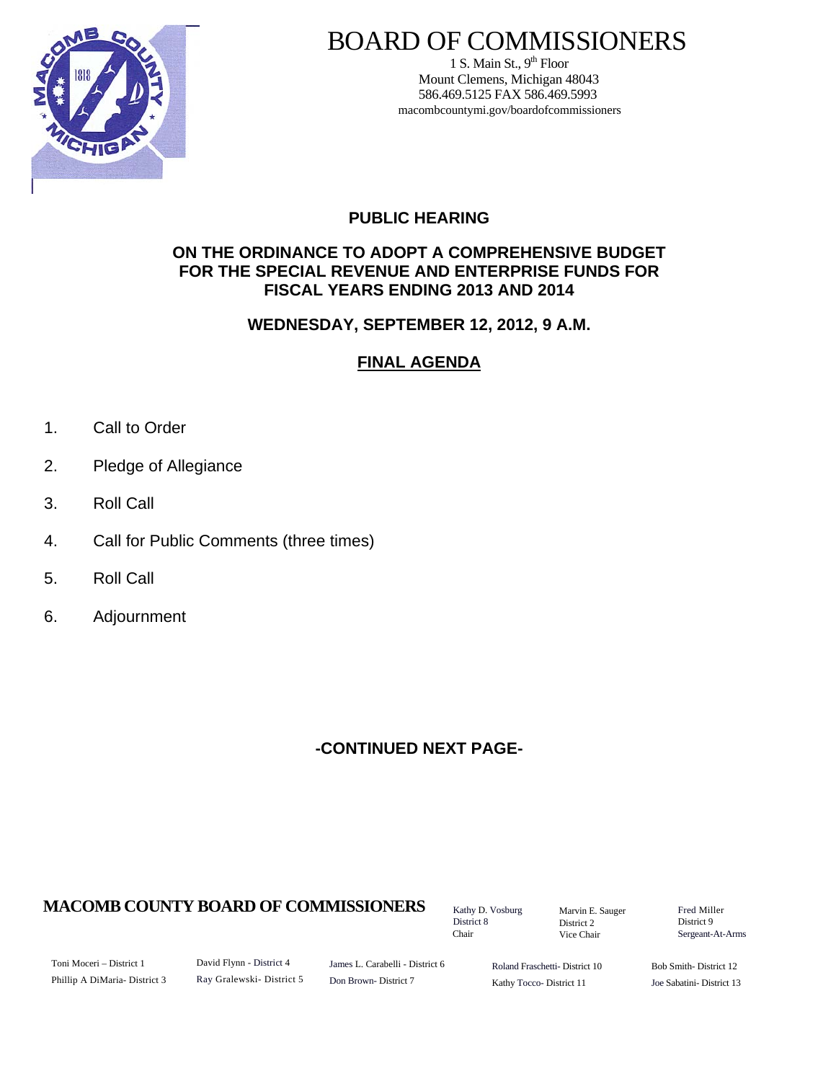

# BOARD OF COMMISSIONERS

1 S. Main St.,  $9<sup>th</sup>$  Floor Mount Clemens, Michigan 48043 586.469.5125 FAX 586.469.5993 macombcountymi.gov/boardofcommissioners

# **PUBLIC HEARING**

### **ON THE ORDINANCE TO ADOPT A COMPREHENSIVE BUDGET FOR THE SPECIAL REVENUE AND ENTERPRISE FUNDS FOR FISCAL YEARS ENDING 2013 AND 2014**

### **WEDNESDAY, SEPTEMBER 12, 2012, 9 A.M.**

# **FINAL AGENDA**

- 1. Call to Order
- 2. Pledge of Allegiance
- 3. Roll Call
- 4. Call for Public Comments (three times)
- 5. Roll Call
- 6. Adjournment

# **-CONTINUED NEXT PAGE-**

# **MACOMB COUNTY BOARD OF COMMISSIONERS** Factor D. Vosburg Marvin F. Sauger Fred Miller

Kathy D. Vosburg District 8 Chair

Marvin E. Sauger District 2 Vice Chair

District 9 Sergeant-At-Arms

Toni Moceri – District 1 Phillip A DiMaria- District 3 David Flynn - District 4 Ray Gralewski- District 5

James L. Carabelli - District 6 Don Brown- District 7

Roland Fraschetti- District 10 Kathy Tocco- District 11

Bob Smith- District 12 Joe Sabatini- District 13